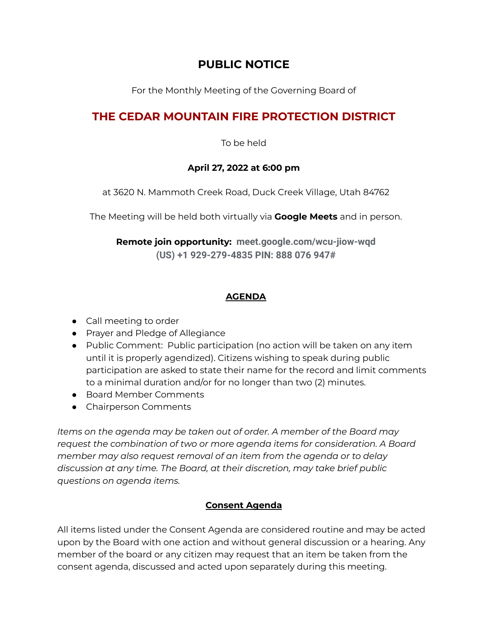## **PUBLIC NOTICE**

For the Monthly Meeting of the Governing Board of

# **THE CEDAR MOUNTAIN FIRE PROTECTION DISTRICT**

To be held

#### **April 27, 2022 at 6:00 pm**

at 3620 N. Mammoth Creek Road, Duck Creek Village, Utah 84762

The Meeting will be held both virtually via **Google Meets** and in person.

**Remote join opportunity: meet.google.com/wcu-jiow-wqd (US) +1 929-279-4835 PIN: 888 076 947#**

#### **AGENDA**

- Call meeting to order
- Prayer and Pledge of Allegiance
- Public Comment: Public participation (no action will be taken on any item until it is properly agendized). Citizens wishing to speak during public participation are asked to state their name for the record and limit comments to a minimal duration and/or for no longer than two (2) minutes.
- Board Member Comments
- Chairperson Comments

*Items on the agenda may be taken out of order. A member of the Board may request the combination of two or more agenda items for consideration. A Board member may also request removal of an item from the agenda or to delay discussion at any time. The Board, at their discretion, may take brief public questions on agenda items.*

### **Consent Agenda**

All items listed under the Consent Agenda are considered routine and may be acted upon by the Board with one action and without general discussion or a hearing. Any member of the board or any citizen may request that an item be taken from the consent agenda, discussed and acted upon separately during this meeting.